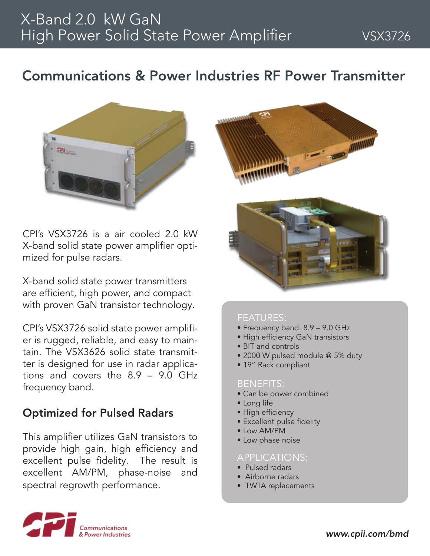## Communications & Power Industries RF Power Transmitter



CPI's VSX3726 is a air cooled 2.0 kW X-band solid state power amplifier optimized for pulse radars.

X-band solid state power transmitters are efficient, high power, and compact with proven GaN transistor technology.

CPI's VSX3726 solid state power amplifier is rugged, reliable, and easy to maintain. The VSX3626 solid state transmitter is designed for use in radar applications and covers the 8.9 – 9.0 GHz frequency band.

### Optimized for Pulsed Radars

This amplifier utilizes GaN transistors to provide high gain, high efficiency and excellent pulse fidelity. The result is excellent AM/PM, phase-noise and spectral regrowth performance.





#### FEATURES:

- Frequency band: 8.9 9.0 GHz
- High efficiency GaN transistors
- BIT and controls
- 2000 W pulsed module @ 5% duty
- 19" Rack compliant

#### BENEFITS:

- Can be power combined
- Long life
- High efficiency
- Excellent pulse fidelity
- Low AM/PM
- Low phase noise

#### APPLICATIONS:

- Pulsed radars
- Airborne radars
- TWTA replacements